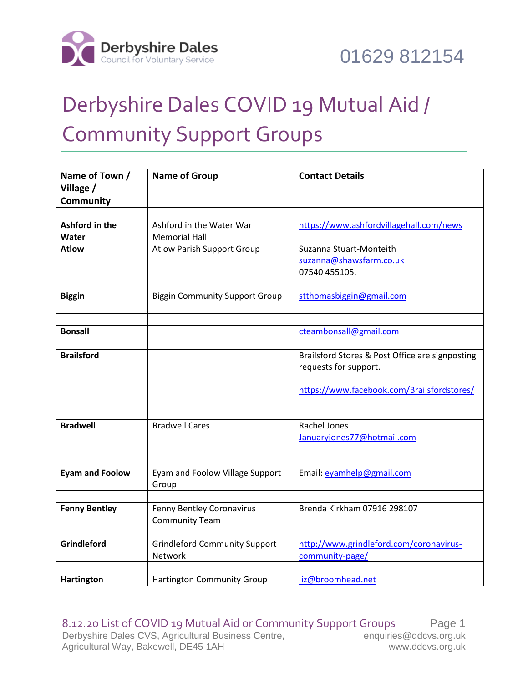

## Derbyshire Dales COVID 19 Mutual Aid / Community Support Groups

| Name of Town /         | <b>Name of Group</b>                     | <b>Contact Details</b>                          |
|------------------------|------------------------------------------|-------------------------------------------------|
| Village /              |                                          |                                                 |
| <b>Community</b>       |                                          |                                                 |
|                        |                                          |                                                 |
| Ashford in the         | Ashford in the Water War                 | https://www.ashfordvillagehall.com/news         |
| Water                  | <b>Memorial Hall</b>                     |                                                 |
| <b>Atlow</b>           | <b>Atlow Parish Support Group</b>        | Suzanna Stuart-Monteith                         |
|                        |                                          | suzanna@shawsfarm.co.uk                         |
|                        |                                          | 07540 455105.                                   |
| <b>Biggin</b>          | <b>Biggin Community Support Group</b>    | stthomasbiggin@gmail.com                        |
|                        |                                          |                                                 |
| <b>Bonsall</b>         |                                          | cteambonsall@gmail.com                          |
| <b>Brailsford</b>      |                                          | Brailsford Stores & Post Office are signposting |
|                        |                                          | requests for support.                           |
|                        |                                          | https://www.facebook.com/Brailsfordstores/      |
|                        |                                          |                                                 |
|                        |                                          |                                                 |
| <b>Bradwell</b>        | <b>Bradwell Cares</b>                    | Rachel Jones                                    |
|                        |                                          | Januaryjones77@hotmail.com                      |
|                        |                                          |                                                 |
| <b>Eyam and Foolow</b> | Eyam and Foolow Village Support<br>Group | Email: eyamhelp@gmail.com                       |
|                        |                                          |                                                 |
| <b>Fenny Bentley</b>   | Fenny Bentley Coronavirus                | Brenda Kirkham 07916 298107                     |
|                        | <b>Community Team</b>                    |                                                 |
|                        |                                          |                                                 |
| Grindleford            | <b>Grindleford Community Support</b>     | http://www.grindleford.com/coronavirus-         |
|                        | Network                                  | community-page/                                 |
|                        |                                          |                                                 |
| <b>Hartington</b>      | <b>Hartington Community Group</b>        | liz@broomhead.net                               |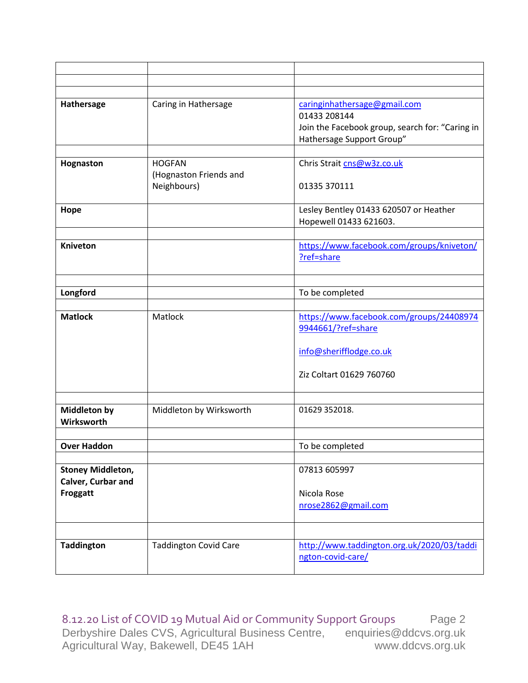| Hathersage               | Caring in Hathersage         | caringinhathersage@gmail.com                    |
|--------------------------|------------------------------|-------------------------------------------------|
|                          |                              | 01433 208144                                    |
|                          |                              | Join the Facebook group, search for: "Caring in |
|                          |                              | Hathersage Support Group"                       |
|                          |                              |                                                 |
| Hognaston                | <b>HOGFAN</b>                | Chris Strait cns@w3z.co.uk                      |
|                          | (Hognaston Friends and       |                                                 |
|                          | Neighbours)                  | 01335 370111                                    |
|                          |                              |                                                 |
| Hope                     |                              | Lesley Bentley 01433 620507 or Heather          |
|                          |                              | Hopewell 01433 621603.                          |
|                          |                              |                                                 |
| <b>Kniveton</b>          |                              | https://www.facebook.com/groups/kniveton/       |
|                          |                              | ?ref=share                                      |
|                          |                              |                                                 |
|                          |                              |                                                 |
| Longford                 |                              | To be completed                                 |
|                          |                              |                                                 |
| <b>Matlock</b>           | Matlock                      | https://www.facebook.com/groups/24408974        |
|                          |                              | 9944661/?ref=share                              |
|                          |                              | info@sherifflodge.co.uk                         |
|                          |                              |                                                 |
|                          |                              | Ziz Coltart 01629 760760                        |
|                          |                              |                                                 |
|                          |                              |                                                 |
| <b>Middleton by</b>      | Middleton by Wirksworth      | 01629 352018.                                   |
| Wirksworth               |                              |                                                 |
|                          |                              |                                                 |
| <b>Over Haddon</b>       |                              | To be completed                                 |
|                          |                              |                                                 |
| <b>Stoney Middleton,</b> |                              | 07813 605997                                    |
| Calver, Curbar and       |                              |                                                 |
| Froggatt                 |                              | Nicola Rose                                     |
|                          |                              | nrose2862@gmail.com                             |
|                          |                              |                                                 |
|                          |                              |                                                 |
| <b>Taddington</b>        | <b>Taddington Covid Care</b> | http://www.taddington.org.uk/2020/03/taddi      |
|                          |                              | ngton-covid-care/                               |
|                          |                              |                                                 |

8.12.20 List of COVID 19 Mutual Aid or Community Support Groups Page 2 Derbyshire Dales CVS, Agricultural Business Centre, enquiries@ddcvs.org.uk<br>Agricultural Way, Bakewell, DE45 1AH www.ddcvs.org.uk Agricultural Way, Bakewell, DE45 1AH